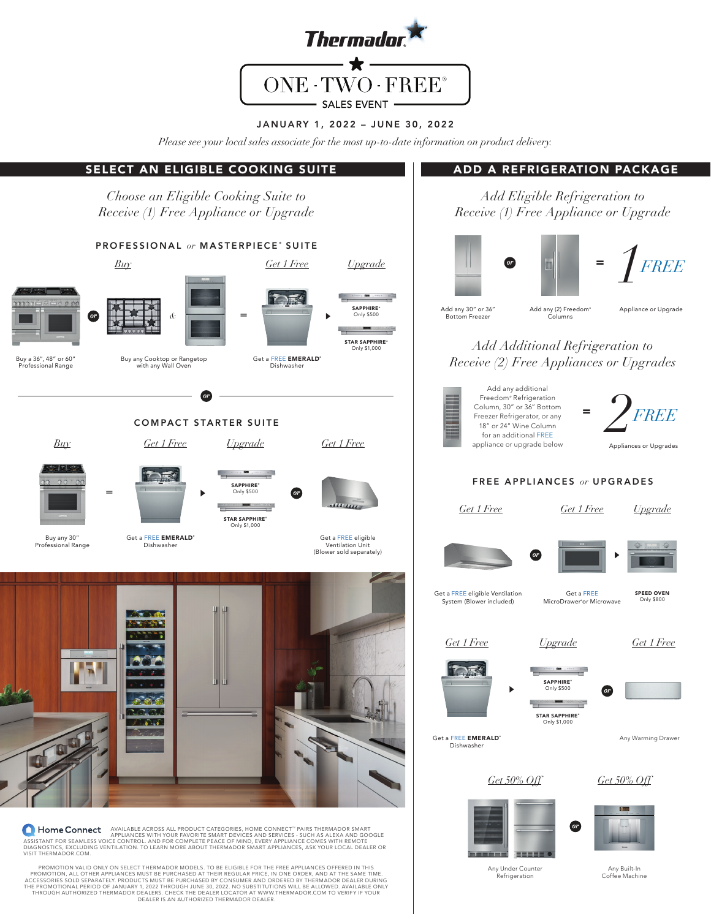

# JANUARY 1, 2022 – JUNE 30, 2022

*Please see your local sales associate for the most up-to-date information on product delivery.* 

#### SELECT AN ELIGIBLE COOKING SUITE ADD A REFRIGERATION PACKAGE *Choose an Eligible Cooking Suite to Add Eligible Refrigeration to Receive (1) Free Appliance or Upgrade Receive (1) Free Appliance or Upgrade* PROFESSIONAL or MASTERPIECE<sup>®</sup> SUITE *1 or* <sup>=</sup> *FREE Buy Get 1 Free Upgrade*  $\frac{1}{2}$ Add any 30" or 36" Add any (2) Freedom<sup>®</sup> Appliance or Upgrade SAPPHIRE<sup>®</sup><br>Only \$500 *&* = *or* Bottom Freezer Columns  $-$  0.5% STAR SAPPHIRE<sup>®</sup> *Add Additional Refrigeration to*  Only \$1,000 Buy a 36", 48" or 60" Buy any Cooktop or Rangetop Get a FREE **EMERALD**<sup>®</sup> *Receive (2) Free Appliances or Upgrades* Professional Range with any Wall Oven Dishwasher Add any additional *2 or* Freedom® Refrigeration Column, 30" or 36" Bottom <sup>=</sup> *FREE* Freezer Refrigerator, or any COMPACT STARTER SUITE 18" or 24" Wine Column for an additional FREE *Buy Get 1 Free Upgrade Get 1 Free* appliance or upgrade below Appliances or Upgrades FREE APPLIANCES *or* UPGRADES **SAPPHIRE** = Only \$500 *or Get 1 Free Get 1 Free Upgrade* STAR SAPPHIRE<sup>®</sup> Only \$1,000 Get a FREE EMERALD® Buy any 30" Get a FREE eligible<br>Ventilation Unit<br>(Blower sold separately) Professional Range Dishwasher *or* Get a FREE SPEED OVEN Get a FREE eligible Ventilation System (Blower included) Only \$800 MicroDrawer® or Microwave *Get 1 Free Upgrade Get 1 Free* DR SAPPHIRE<sup>®</sup> Only \$500 *or* STAR SAPPHIRE<sup>®</sup> Only \$1,000 Get a FREE **EMERALD**<sup>\*</sup> Any Warming DrawerDishwasher *Get 50% Off Get 50% Off or* **A Home Connect** Appliable across all product caregories, home connect " pairs thermador smart<br>Appliances with your favorite smart devices and services and services - such as alexa and google<br>Diagnostics, excluding ventila VISIT THERMADOR.COM. mind TIIL PROMOTION VALID ONLY ON SELECT THERMADOR MODELS. TO BE ELIGIBLE FOR THE FREE APPLIANCES OFFERED IN THIS Any Under Counter Refrigeration Any Built-In Coffee Machine PROMOTION, ALL OTHER APPLIANCES MUST BE PURCHASED AT THEIR REGULAR PRICE, IN ONE ORDER, AND AT THE SAME TIME.<br>ACCESSORIES SOLD SEPARATELY: PRODUCTS MUST BE PURCHASED BY CONSUMER AND ORDERED BY THERMADOR DEALER DURING<br>THE P

THROUGH AUTHORIZED THERMADOR DEALERS. CHECK THE DEALER LOCATOR AT WWW.THERMADOR.COM TO VERIFY IF YOUR<br>DEALER IS AN AUTHORIZED THERMADOR DEALER.